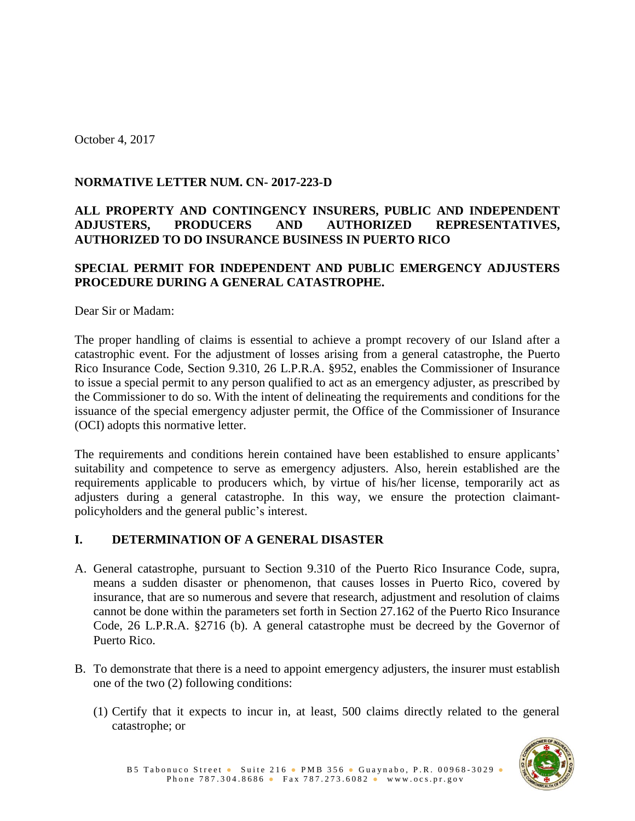October 4, 2017

# **NORMATIVE LETTER NUM. CN- 2017-223-D**

# **ALL PROPERTY AND CONTINGENCY INSURERS, PUBLIC AND INDEPENDENT ADJUSTERS, PRODUCERS AND AUTHORIZED REPRESENTATIVES, AUTHORIZED TO DO INSURANCE BUSINESS IN PUERTO RICO**

## **SPECIAL PERMIT FOR INDEPENDENT AND PUBLIC EMERGENCY ADJUSTERS PROCEDURE DURING A GENERAL CATASTROPHE.**

Dear Sir or Madam:

The proper handling of claims is essential to achieve a prompt recovery of our Island after a catastrophic event. For the adjustment of losses arising from a general catastrophe, the Puerto Rico Insurance Code, Section 9.310, 26 L.P.R.A. §952, enables the Commissioner of Insurance to issue a special permit to any person qualified to act as an emergency adjuster, as prescribed by the Commissioner to do so. With the intent of delineating the requirements and conditions for the issuance of the special emergency adjuster permit, the Office of the Commissioner of Insurance (OCI) adopts this normative letter.

The requirements and conditions herein contained have been established to ensure applicants' suitability and competence to serve as emergency adjusters. Also, herein established are the requirements applicable to producers which, by virtue of his/her license, temporarily act as adjusters during a general catastrophe. In this way, we ensure the protection claimantpolicyholders and the general public's interest.

## **I. DETERMINATION OF A GENERAL DISASTER**

- A. General catastrophe, pursuant to Section 9.310 of the Puerto Rico Insurance Code, supra, means a sudden disaster or phenomenon, that causes losses in Puerto Rico, covered by insurance, that are so numerous and severe that research, adjustment and resolution of claims cannot be done within the parameters set forth in Section 27.162 of the Puerto Rico Insurance Code, 26 L.P.R.A. §2716 (b). A general catastrophe must be decreed by the Governor of Puerto Rico.
- B. To demonstrate that there is a need to appoint emergency adjusters, the insurer must establish one of the two (2) following conditions:
	- (1) Certify that it expects to incur in, at least, 500 claims directly related to the general catastrophe; or

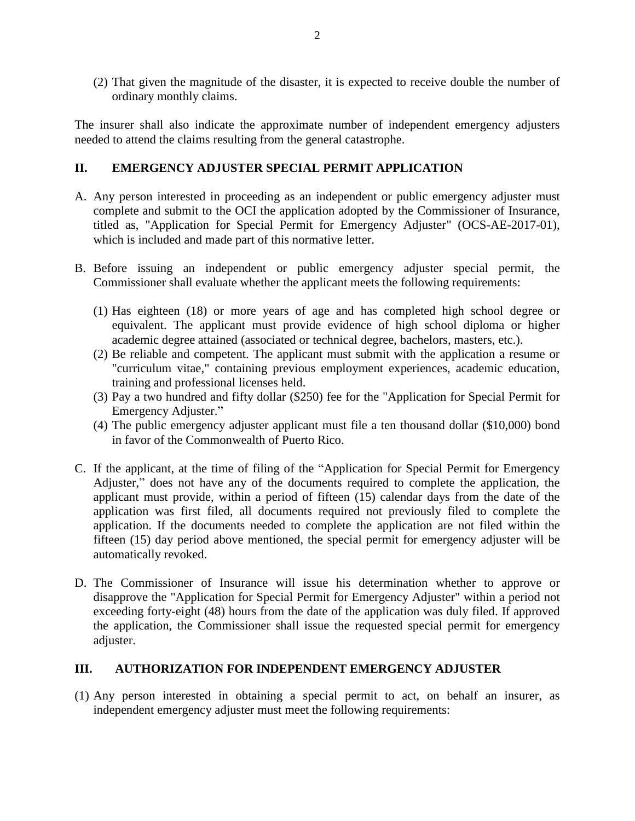(2) That given the magnitude of the disaster, it is expected to receive double the number of ordinary monthly claims.

The insurer shall also indicate the approximate number of independent emergency adjusters needed to attend the claims resulting from the general catastrophe.

### **II. EMERGENCY ADJUSTER SPECIAL PERMIT APPLICATION**

- A. Any person interested in proceeding as an independent or public emergency adjuster must complete and submit to the OCI the application adopted by the Commissioner of Insurance, titled as, "Application for Special Permit for Emergency Adjuster" (OCS-AE-2017-01), which is included and made part of this normative letter.
- B. Before issuing an independent or public emergency adjuster special permit, the Commissioner shall evaluate whether the applicant meets the following requirements:
	- (1) Has eighteen (18) or more years of age and has completed high school degree or equivalent. The applicant must provide evidence of high school diploma or higher academic degree attained (associated or technical degree, bachelors, masters, etc.).
	- (2) Be reliable and competent. The applicant must submit with the application a resume or "curriculum vitae," containing previous employment experiences, academic education, training and professional licenses held.
	- (3) Pay a two hundred and fifty dollar (\$250) fee for the "Application for Special Permit for Emergency Adjuster."
	- (4) The public emergency adjuster applicant must file a ten thousand dollar (\$10,000) bond in favor of the Commonwealth of Puerto Rico.
- C. If the applicant, at the time of filing of the "Application for Special Permit for Emergency Adjuster," does not have any of the documents required to complete the application, the applicant must provide, within a period of fifteen (15) calendar days from the date of the application was first filed, all documents required not previously filed to complete the application. If the documents needed to complete the application are not filed within the fifteen (15) day period above mentioned, the special permit for emergency adjuster will be automatically revoked.
- D. The Commissioner of Insurance will issue his determination whether to approve or disapprove the "Application for Special Permit for Emergency Adjuster" within a period not exceeding forty-eight (48) hours from the date of the application was duly filed. If approved the application, the Commissioner shall issue the requested special permit for emergency adjuster.

### **III. AUTHORIZATION FOR INDEPENDENT EMERGENCY ADJUSTER**

(1) Any person interested in obtaining a special permit to act, on behalf an insurer, as independent emergency adjuster must meet the following requirements: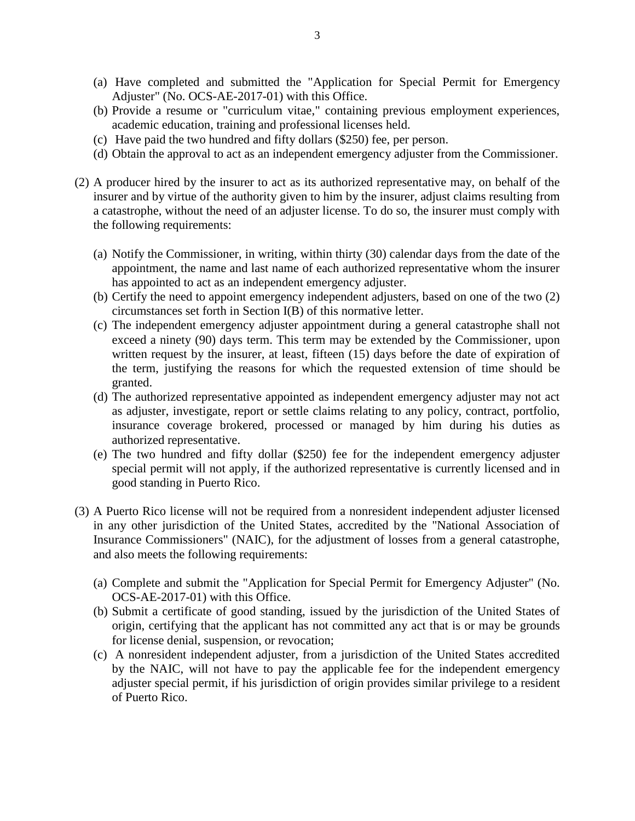- (a) Have completed and submitted the "Application for Special Permit for Emergency Adjuster" (No. OCS-AE-2017-01) with this Office.
- (b) Provide a resume or "curriculum vitae," containing previous employment experiences, academic education, training and professional licenses held.
- (c) Have paid the two hundred and fifty dollars (\$250) fee, per person.
- (d) Obtain the approval to act as an independent emergency adjuster from the Commissioner.
- (2) A producer hired by the insurer to act as its authorized representative may, on behalf of the insurer and by virtue of the authority given to him by the insurer, adjust claims resulting from a catastrophe, without the need of an adjuster license. To do so, the insurer must comply with the following requirements:
	- (a) Notify the Commissioner, in writing, within thirty (30) calendar days from the date of the appointment, the name and last name of each authorized representative whom the insurer has appointed to act as an independent emergency adjuster.
	- (b) Certify the need to appoint emergency independent adjusters, based on one of the two (2) circumstances set forth in Section I(B) of this normative letter.
	- (c) The independent emergency adjuster appointment during a general catastrophe shall not exceed a ninety (90) days term. This term may be extended by the Commissioner, upon written request by the insurer, at least, fifteen (15) days before the date of expiration of the term, justifying the reasons for which the requested extension of time should be granted.
	- (d) The authorized representative appointed as independent emergency adjuster may not act as adjuster, investigate, report or settle claims relating to any policy, contract, portfolio, insurance coverage brokered, processed or managed by him during his duties as authorized representative.
	- (e) The two hundred and fifty dollar (\$250) fee for the independent emergency adjuster special permit will not apply, if the authorized representative is currently licensed and in good standing in Puerto Rico.
- (3) A Puerto Rico license will not be required from a nonresident independent adjuster licensed in any other jurisdiction of the United States, accredited by the "National Association of Insurance Commissioners" (NAIC), for the adjustment of losses from a general catastrophe, and also meets the following requirements:
	- (a) Complete and submit the "Application for Special Permit for Emergency Adjuster" (No. OCS-AE-2017-01) with this Office.
	- (b) Submit a certificate of good standing, issued by the jurisdiction of the United States of origin, certifying that the applicant has not committed any act that is or may be grounds for license denial, suspension, or revocation;
	- (c) A nonresident independent adjuster, from a jurisdiction of the United States accredited by the NAIC, will not have to pay the applicable fee for the independent emergency adjuster special permit, if his jurisdiction of origin provides similar privilege to a resident of Puerto Rico.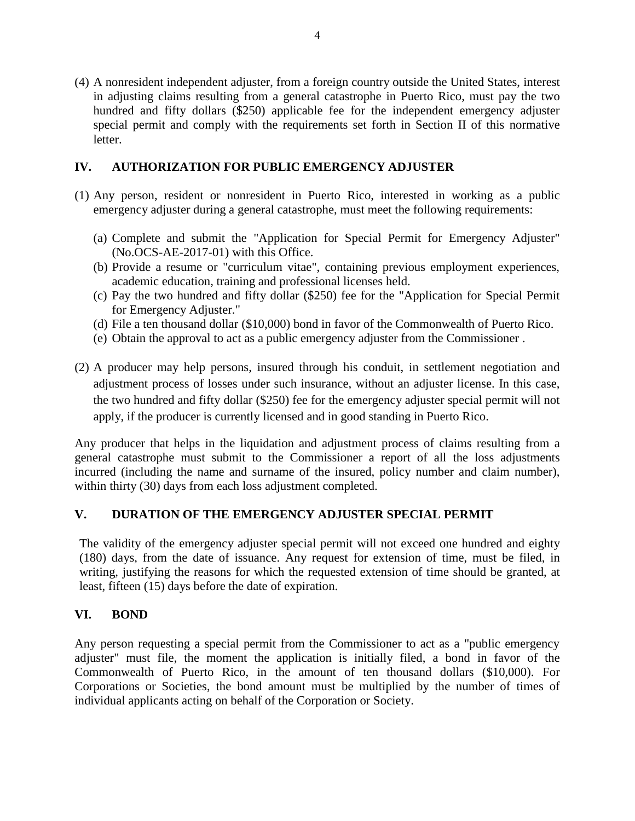(4) A nonresident independent adjuster, from a foreign country outside the United States, interest in adjusting claims resulting from a general catastrophe in Puerto Rico, must pay the two hundred and fifty dollars (\$250) applicable fee for the independent emergency adjuster special permit and comply with the requirements set forth in Section II of this normative letter.

### **IV. AUTHORIZATION FOR PUBLIC EMERGENCY ADJUSTER**

- (1) Any person, resident or nonresident in Puerto Rico, interested in working as a public emergency adjuster during a general catastrophe, must meet the following requirements:
	- (a) Complete and submit the "Application for Special Permit for Emergency Adjuster" (No.OCS-AE-2017-01) with this Office.
	- (b) Provide a resume or "curriculum vitae", containing previous employment experiences, academic education, training and professional licenses held.
	- (c) Pay the two hundred and fifty dollar (\$250) fee for the "Application for Special Permit for Emergency Adjuster."
	- (d) File a ten thousand dollar (\$10,000) bond in favor of the Commonwealth of Puerto Rico.
	- (e) Obtain the approval to act as a public emergency adjuster from the Commissioner .
- (2) A producer may help persons, insured through his conduit, in settlement negotiation and adjustment process of losses under such insurance, without an adjuster license. In this case, the two hundred and fifty dollar (\$250) fee for the emergency adjuster special permit will not apply, if the producer is currently licensed and in good standing in Puerto Rico.

Any producer that helps in the liquidation and adjustment process of claims resulting from a general catastrophe must submit to the Commissioner a report of all the loss adjustments incurred (including the name and surname of the insured, policy number and claim number), within thirty (30) days from each loss adjustment completed.

### **V. DURATION OF THE EMERGENCY ADJUSTER SPECIAL PERMIT**

The validity of the emergency adjuster special permit will not exceed one hundred and eighty (180) days, from the date of issuance. Any request for extension of time, must be filed, in writing, justifying the reasons for which the requested extension of time should be granted, at least, fifteen (15) days before the date of expiration.

### **VI. BOND**

Any person requesting a special permit from the Commissioner to act as a "public emergency adjuster" must file, the moment the application is initially filed, a bond in favor of the Commonwealth of Puerto Rico, in the amount of ten thousand dollars (\$10,000). For Corporations or Societies, the bond amount must be multiplied by the number of times of individual applicants acting on behalf of the Corporation or Society.